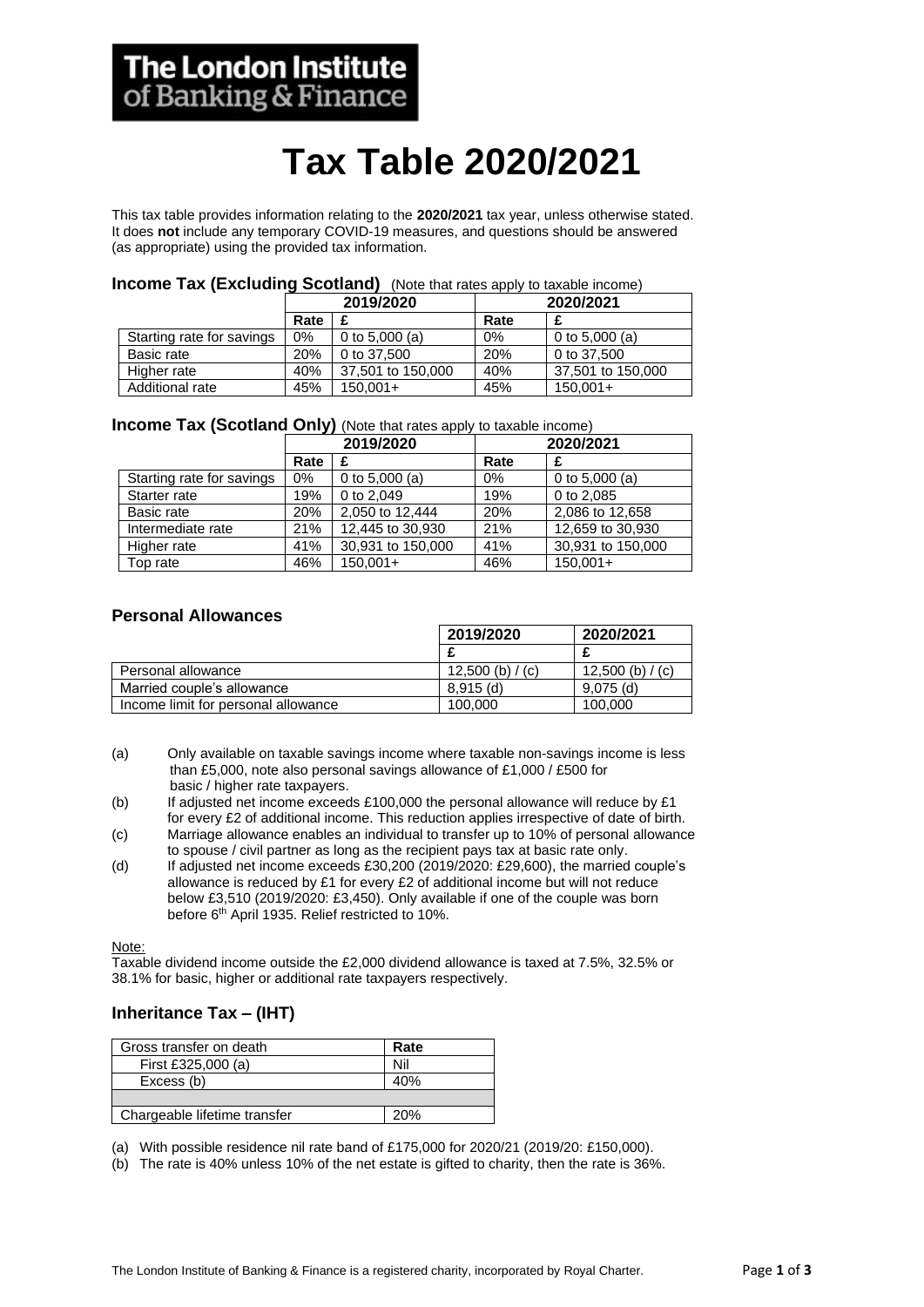# **Tax Table 2020/2021**

This tax table provides information relating to the **2020/2021** tax year, unless otherwise stated. It does **not** include any temporary COVID-19 measures, and questions should be answered (as appropriate) using the provided tax information.

#### **Income Tax (Excluding Scotland)** (Note that rates apply to taxable income)

|                           | 2019/2020 |                   | 2020/2021 |                   |
|---------------------------|-----------|-------------------|-----------|-------------------|
|                           | Rate      |                   | Rate      |                   |
| Starting rate for savings | 0%        | 0 to 5,000 (a)    | 0%        | 0 to 5,000 (a)    |
| Basic rate                | 20%       | 0 to 37,500       | 20%       | 0 to 37,500       |
| Higher rate               | 40%       | 37,501 to 150,000 | 40%       | 37,501 to 150,000 |
| Additional rate           | 45%       | $150.001+$        | 45%       | $150.001 +$       |

#### **Income Tax (Scotland Only)** (Note that rates apply to taxable income)

|                           | 2019/2020 |                   | 2020/2021 |                   |
|---------------------------|-----------|-------------------|-----------|-------------------|
|                           | Rate      |                   | Rate      |                   |
| Starting rate for savings | 0%        | 0 to $5,000$ (a)  | $0\%$     | 0 to $5,000$ (a)  |
| Starter rate              | 19%       | 0 to 2.049        | 19%       | 0 to 2,085        |
| Basic rate                | 20%       | 2,050 to 12,444   | 20%       | 2,086 to 12,658   |
| Intermediate rate         | 21%       | 12,445 to 30,930  | 21%       | 12,659 to 30,930  |
| Higher rate               | 41%       | 30,931 to 150,000 | 41%       | 30,931 to 150,000 |
| Top rate                  | 46%       | $150.001+$        | 46%       | $150,001+$        |

#### **Personal Allowances**

|                                     | 2019/2020        | 2020/2021        |
|-------------------------------------|------------------|------------------|
|                                     |                  |                  |
| Personal allowance                  | 12,500 (b) / (c) | 12,500 (b) / (c) |
| Married couple's allowance          | $8.915$ (d)      | $9.075$ (d)      |
| Income limit for personal allowance | 100,000          | 100.000          |

- (a) Only available on taxable savings income where taxable non-savings income is less than £5,000, note also personal savings allowance of £1,000 / £500 for basic / higher rate taxpayers.
- (b) If adjusted net income exceeds £100,000 the personal allowance will reduce by £1 for every £2 of additional income. This reduction applies irrespective of date of birth.
- (c) Marriage allowance enables an individual to transfer up to 10% of personal allowance to spouse / civil partner as long as the recipient pays tax at basic rate only.
- (d) If adjusted net income exceeds £30,200 (2019/2020: £29,600), the married couple's allowance is reduced by £1 for every £2 of additional income but will not reduce below £3,510 (2019/2020: £3,450). Only available if one of the couple was born before 6<sup>th</sup> April 1935. Relief restricted to 10%.

Note:

Taxable dividend income outside the £2,000 dividend allowance is taxed at 7.5%, 32.5% or 38.1% for basic, higher or additional rate taxpayers respectively.

## **Inheritance Tax – (IHT)**

| Gross transfer on death      | Rate |
|------------------------------|------|
| First £325,000 (a)           | Nil  |
| Excess (b)                   | 40%  |
|                              |      |
| Chargeable lifetime transfer | 20%  |

(a) With possible residence nil rate band of £175,000 for 2020/21 (2019/20: £150,000).

(b) The rate is 40% unless 10% of the net estate is gifted to charity, then the rate is 36%.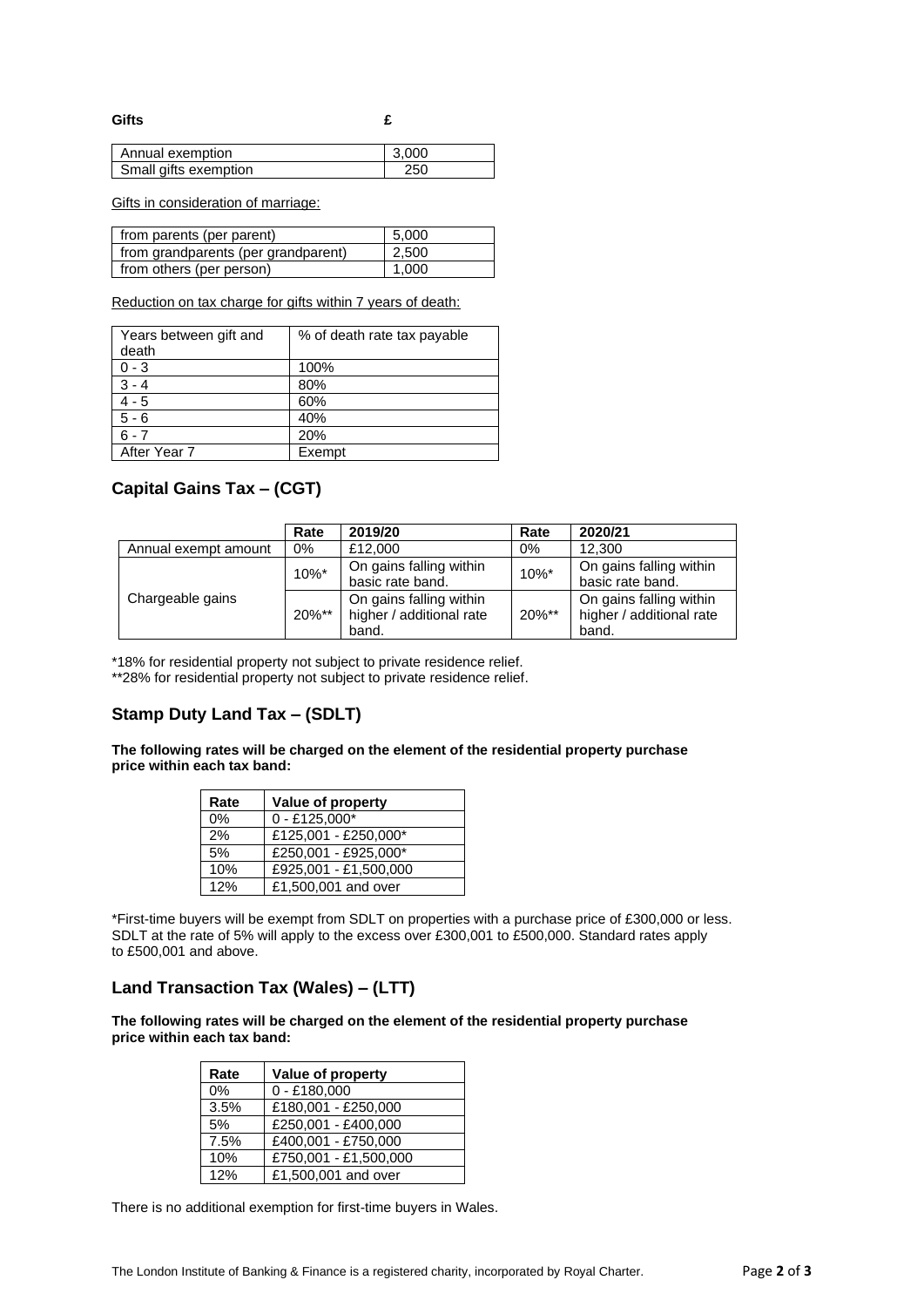**Gifts £**

| Annual exemption      | 3.000 |
|-----------------------|-------|
| Small gifts exemption |       |

Gifts in consideration of marriage:

| from parents (per parent)           | 5,000 |
|-------------------------------------|-------|
| from grandparents (per grandparent) | 2,500 |
| from others (per person)            | 1.000 |

Reduction on tax charge for gifts within 7 years of death:

| Years between gift and<br>death | % of death rate tax payable |
|---------------------------------|-----------------------------|
| $0 - 3$                         | 100%                        |
| $3 - 4$                         | 80%                         |
| $4 - 5$                         | 60%                         |
| $5 - 6$                         | 40%                         |
| $6 - 7$                         | 20%                         |
| After Year 7                    | Exempt                      |

## **Capital Gains Tax – (CGT)**

|                      | Rate  | 2019/20                                             | Rate      | 2020/21                                             |
|----------------------|-------|-----------------------------------------------------|-----------|-----------------------------------------------------|
| Annual exempt amount | 0%    | £12,000                                             | 0%        | 12.300                                              |
| Chargeable gains     | 10%*  | On gains falling within<br>basic rate band.         | $10\%$ *  | On gains falling within<br>basic rate band.         |
|                      | 20%** | On gains falling within<br>higher / additional rate | $20\%$ ** | On gains falling within<br>higher / additional rate |
|                      |       | band.                                               |           | band.                                               |

\*18% for residential property not subject to private residence relief.

\*\*28% for residential property not subject to private residence relief.

## **Stamp Duty Land Tax – (SDLT)**

**The following rates will be charged on the element of the residential property purchase price within each tax band:**

| Rate | Value of property     |  |
|------|-----------------------|--|
| 0%   | $0 - £125,000*$       |  |
| 2%   | £125,001 - £250,000*  |  |
| 5%   | £250,001 - £925,000*  |  |
| 10%  | £925,001 - £1,500,000 |  |
| 12%  | £1,500,001 and over   |  |

\*First-time buyers will be exempt from SDLT on properties with a purchase price of £300,000 or less. SDLT at the rate of 5% will apply to the excess over £300,001 to £500,000. Standard rates apply to £500,001 and above.

## **Land Transaction Tax (Wales) – (LTT)**

**The following rates will be charged on the element of the residential property purchase price within each tax band:** 

| Rate  | Value of property     |
|-------|-----------------------|
| $0\%$ | $0 - £180,000$        |
| 3.5%  | £180,001 - £250,000   |
| 5%    | £250.001 - £400.000   |
| 7.5%  | £400,001 - £750,000   |
| 10%   | £750,001 - £1,500,000 |
| 12%   | £1,500,001 and over   |

There is no additional exemption for first-time buyers in Wales.